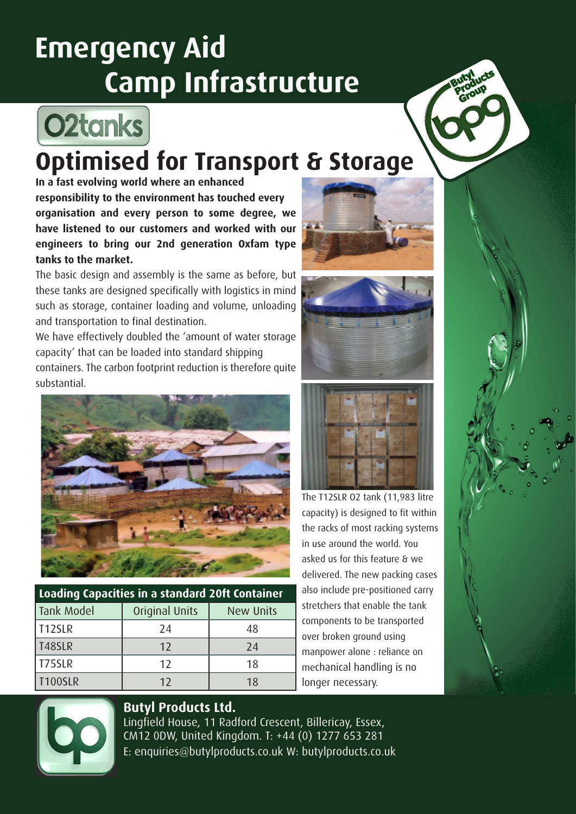# **Emergency Aid Camp Infrastructure**



## **Optimised for Transport & Storage**

**In a fast evolving world where an enhanced responsibility to the environment has touched every organisation and every person to some degree, we have listened to our customers and worked with our engineers to bring our 2nd generation Oxfam type tanks to the market.** 

The basic design and assembly is the same as before, but these tanks are designed specifically with logistics in mind such as storage, container loading and volume, unloading and transportation to final destination.

We have effectively doubled the 'amount of water storage capacity' that can be loaded into standard shipping containers. The carbon footprint reduction is therefore quite substantial.



| Loading Capacities in a standard 20ft Container |                |                  |
|-------------------------------------------------|----------------|------------------|
| Tank Model                                      | Original Units | <b>New Units</b> |
| T12SLR                                          | 24             | 48               |
| T48SLR                                          | 12             | 24               |
| T75SLR                                          | 12             | 18               |
| <b>T100SLR</b>                                  | 12             | 18               |







The T12SLR O2 tank (11,983 litre capacity) is designed to fit within the racks of most racking systems asked us for this feature & we delivered. The new packing cases also include pre-positioned carry stretchers that enable the tank components to be transported manpower alone : reliance on mechanical handling is no longer necessary.



### **Butyl Products Ltd.**

Lingfield House, 11 Radford Crescent, Billericay, Essex, CM12 0DW, United Kingdom. T: +44 (0) 1277 653 281 E: enquiries@butylproducts.co.uk W: butylproducts.co.uk

in use around the world. You over broken ground using